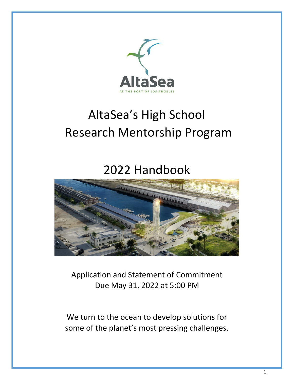

# AltaSea's High School Research Mentorship Program

## 2022 Handbook



Application and Statement of Commitment Due May 31, 2022 at 5:00 PM

We turn to the ocean to develop solutions for some of the planet's most pressing challenges.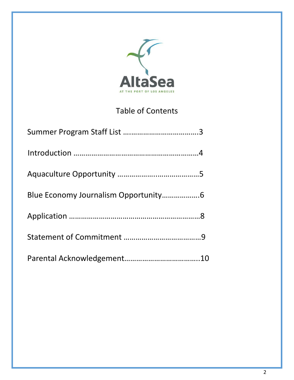

## Table of Contents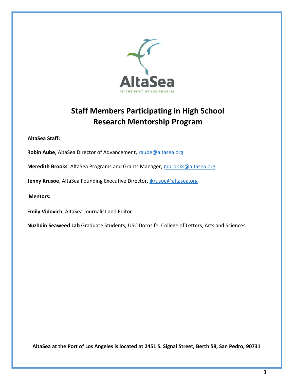

## **Staff Members Participating in High School Research Mentorship Program**

#### **AltaSea Staff:**

Robin Aube, AltaSea Director of Advancement, raube@altasea.org

**Meredith Brooks**, AltaSea Programs and Grants Manager, mbrooks@altasea.org

Jenny Krusoe, AltaSea Founding Executive Director, *jkrusoe@altasea.org* 

#### **Mentors:**

**Emily Vidovich**, AltaSea Journalist and Editor

**Nuzhdin Seaweed Lab** Graduate Students, USC Dornsife, College of Letters, Arts and Sciences

**AltaSea at the Port of Los Angeles is located at 2451 S. Signal Street, Berth 58, San Pedro, 90731**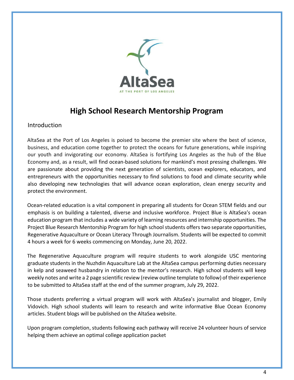

### **High School Research Mentorship Program**

#### Introduction

AltaSea at the Port of Los Angeles is poised to become the premier site where the best of science, business, and education come together to protect the oceans for future generations, while inspiring our youth and invigorating our economy. AltaSea is fortifying Los Angeles as the hub of the Blue Economy and, as a result, will find ocean-based solutions for mankind's most pressing challenges. We are passionate about providing the next generation of scientists, ocean explorers, educators, and entrepreneurs with the opportunities necessary to find solutions to food and climate security while also developing new technologies that will advance ocean exploration, clean energy security and protect the environment.

Ocean-related education is a vital component in preparing all students for Ocean STEM fields and our emphasis is on building a talented, diverse and inclusive workforce. Project Blue is AltaSea's ocean education program that includes a wide variety of learning resources and internship opportunities. The Project Blue Research Mentorship Program for high school students offers two separate opportunities, Regenerative Aquaculture or Ocean Literacy Through Journalism. Students will be expected to commit 4 hours a week for 6 weeks commencing on Monday, June 20, 2022.

The Regenerative Aquaculture program will require students to work alongside USC mentoring graduate students in the Nuzhdin Aquaculture Lab at the AltaSea campus performing duties necessary in kelp and seaweed husbandry in relation to the mentor's research. High school students will keep weekly notes and write a 2 page scientific review (review outline template to follow) of their experience to be submitted to AltaSea staff at the end of the summer program, July 29, 2022.

Those students preferring a virtual program will work with AltaSea's journalist and blogger, Emily Vidovich. High school students will learn to research and write informative Blue Ocean Economy articles. Student blogs will be published on the AltaSea website.

Upon program completion, students following each pathway will receive 24 volunteer hours of service helping them achieve an optimal college application packet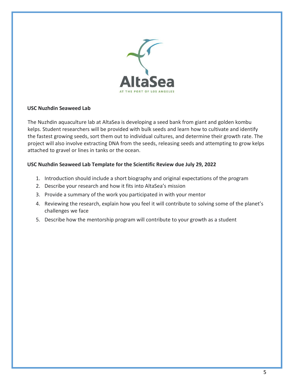

#### **USC Nuzhdin Seaweed Lab**

The Nuzhdin aquaculture lab at AltaSea is developing a seed bank from giant and golden kombu kelps. Student researchers will be provided with bulk seeds and learn how to cultivate and identify the fastest growing seeds, sort them out to individual cultures, and determine their growth rate. The project will also involve extracting DNA from the seeds, releasing seeds and attempting to grow kelps attached to gravel or lines in tanks or the ocean.

#### **USC Nuzhdin Seaweed Lab Template for the Scientific Review due July 29, 2022**

- 1. Introduction should include a short biography and original expectations of the program
- 2. Describe your research and how it fits into AltaSea's mission
- 3. Provide a summary of the work you participated in with your mentor
- 4. Reviewing the research, explain how you feel it will contribute to solving some of the planet's challenges we face
- 5. Describe how the mentorship program will contribute to your growth as a student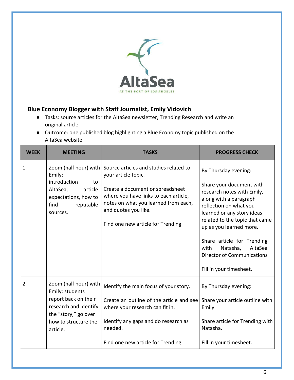

#### **Blue Economy Blogger with Staff Journalist, Emily Vidovich**

- Tasks: source articles for the AltaSea newsletter, Trending Research and write an original article
- Outcome: one published blog highlighting a Blue Economy topic published on the AltaSea website

| <b>WEEK</b> | MEETING                                                                                                                                               | <b>TASKS</b>                                                                                                                                                                                                                                    | <b>PROGRESS CHECK</b>                                                                                                                                                                                                                                                                                                                                      |
|-------------|-------------------------------------------------------------------------------------------------------------------------------------------------------|-------------------------------------------------------------------------------------------------------------------------------------------------------------------------------------------------------------------------------------------------|------------------------------------------------------------------------------------------------------------------------------------------------------------------------------------------------------------------------------------------------------------------------------------------------------------------------------------------------------------|
| 1           | Zoom (half hour) with<br>Emily:<br>introduction<br>to<br>AltaSea,<br>article<br>expectations, how to<br>find<br>reputable<br>sources.                 | Source articles and studies related to<br>your article topic.<br>Create a document or spreadsheet<br>where you have links to each article,<br>notes on what you learned from each,<br>and quotes you like.<br>Find one new article for Trending | By Thursday evening:<br>Share your document with<br>research notes with Emily,<br>along with a paragraph<br>reflection on what you<br>learned or any story ideas<br>related to the topic that came<br>up as you learned more.<br>Share article for Trending<br>Natasha,<br>AltaSea<br>with<br><b>Director of Communications</b><br>Fill in your timesheet. |
| 2           | Zoom (half hour) with<br>Emily: students<br>report back on their<br>research and identify<br>the "story," go over<br>how to structure the<br>article. | Identify the main focus of your story.<br>Create an outline of the article and see<br>where your research can fit in.<br>Identify any gaps and do research as<br>needed.<br>Find one new article for Trending.                                  | By Thursday evening:<br>Share your article outline with<br>Emily<br>Share article for Trending with<br>Natasha.<br>Fill in your timesheet.                                                                                                                                                                                                                 |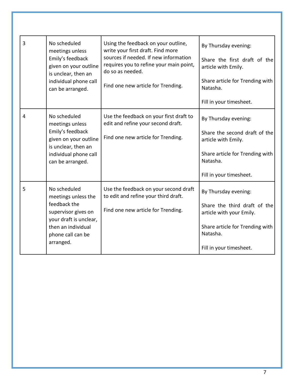| 3 | No scheduled<br>meetings unless<br>Emily's feedback<br>given on your outline<br>is unclear, then an<br>individual phone call<br>can be arranged.             | Using the feedback on your outline,<br>write your first draft. Find more<br>sources if needed. If new information<br>requires you to refine your main point,<br>do so as needed.<br>Find one new article for Trending. | By Thursday evening:<br>Share the first draft of the<br>article with Emily.<br>Share article for Trending with<br>Natasha.<br>Fill in your timesheet.      |
|---|--------------------------------------------------------------------------------------------------------------------------------------------------------------|------------------------------------------------------------------------------------------------------------------------------------------------------------------------------------------------------------------------|------------------------------------------------------------------------------------------------------------------------------------------------------------|
| 4 | No scheduled<br>meetings unless<br>Emily's feedback<br>given on your outline<br>is unclear, then an<br>individual phone call<br>can be arranged.             | Use the feedback on your first draft to<br>edit and refine your second draft.<br>Find one new article for Trending.                                                                                                    | By Thursday evening:<br>Share the second draft of the<br>article with Emily.<br>Share article for Trending with<br>Natasha.<br>Fill in your timesheet.     |
| 5 | No scheduled<br>meetings unless the<br>feedback the<br>supervisor gives on<br>your draft is unclear,<br>then an individual<br>phone call can be<br>arranged. | Use the feedback on your second draft<br>to edit and refine your third draft.<br>Find one new article for Trending.                                                                                                    | By Thursday evening:<br>Share the third draft of the<br>article with your Emily.<br>Share article for Trending with<br>Natasha.<br>Fill in your timesheet. |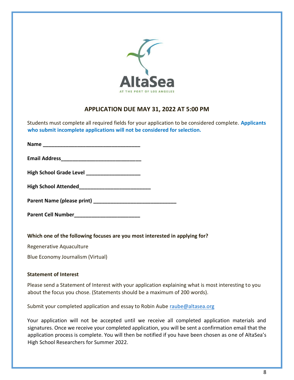

#### **APPLICATION DUE MAY 31, 2022 AT 5:00 PM**

Students must complete all required fields for your application to be considered complete. **Applicants who submit incomplete applications will not be considered for selection.**

| <b>Name</b>                    |  |
|--------------------------------|--|
| <b>Email Address</b>           |  |
| <b>High School Grade Level</b> |  |

**High School Attended\_\_\_\_\_\_\_\_\_\_\_\_\_\_\_\_\_\_\_\_\_\_\_\_\_** 

**Parent Name (please print) \_\_\_\_\_\_\_\_\_\_\_\_\_\_\_\_\_\_\_\_\_\_\_\_\_\_\_\_\_** 

**Parent Cell Number** 

#### **Which one of the following focuses are you most interested in applying for?**

Regenerative Aquaculture

Blue Economy Journalism (Virtual)

#### **Statement of Interest**

Please send a Statement of Interest with your application explaining what is most interesting to you about the focus you chose. (Statements should be a maximum of 200 words).

Submit your completed application and essay to Robin Aube raube@altasea.org

Your application will not be accepted until we receive all completed application materials and signatures. Once we receive your completed application, you will be sent a confirmation email that the application process is complete. You will then be notified if you have been chosen as one of AltaSea's High School Researchers for Summer 2022.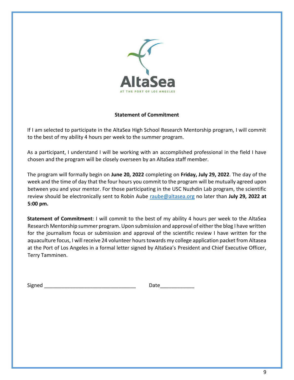

#### **Statement of Commitment**

If I am selected to participate in the AltaSea High School Research Mentorship program, I will commit to the best of my ability 4 hours per week to the summer program.

As a participant, I understand I will be working with an accomplished professional in the field I have chosen and the program will be closely overseen by an AltaSea staff member.

The program will formally begin on **June 20, 2022** completing on **Friday, July 29, 2022**. The day of the week and the time of day that the four hours you commit to the program will be mutually agreed upon between you and your mentor. For those participating in the USC Nuzhdin Lab program, the scientific review should be electronically sent to Robin Aube raube@altasea.org no later than **July 29, 2022 at 5:00 pm.** 

**Statement of Commitment**: I will commit to the best of my ability 4 hours per week to the AltaSea Research Mentorship summer program. Upon submission and approval of either the blog I have written for the journalism focus or submission and approval of the scientific review I have written for the aquaculture focus, I will receive 24 volunteer hours towards my college application packet from Altasea at the Port of Los Angeles in a formal letter signed by AltaSea's President and Chief Executive Officer, Terry Tamminen.

| Signed | . . |
|--------|-----|
|--------|-----|